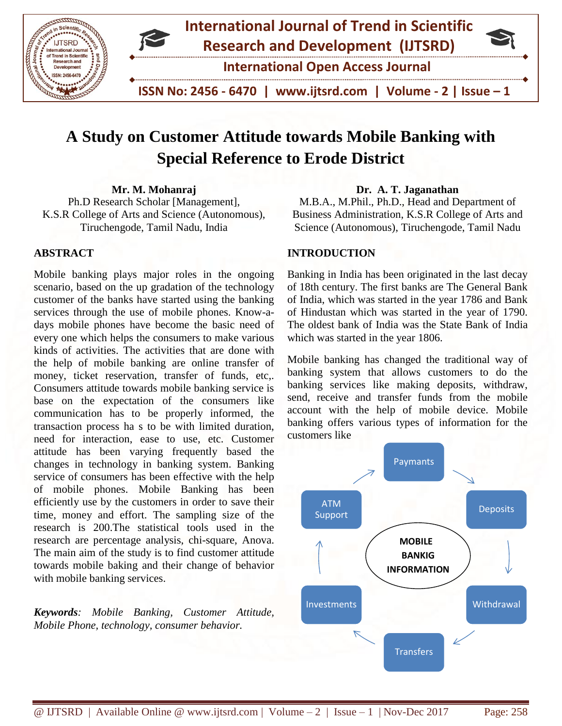

# **A Study on Customer Attitude towards Mobile Banking with Special Reference to Erode District**

**Mr. M. Mohanraj** Ph.D Research Scholar [Management], K.S.R College of Arts and Science (Autonomous), Tiruchengode, Tamil Nadu, India

## **ABSTRACT**

Mobile banking plays major roles in the ongoing scenario, based on the up gradation of the technology customer of the banks have started using the banking services through the use of mobile phones. Know-adays mobile phones have become the basic need of every one which helps the consumers to make various kinds of activities. The activities that are done with the help of mobile banking are online transfer of money, ticket reservation, transfer of funds, etc,. Consumers attitude towards mobile banking service is base on the expectation of the consumers like communication has to be properly informed, the transaction process ha s to be with limited duration, need for interaction, ease to use, etc. Customer attitude has been varying frequently based the changes in technology in banking system. Banking service of consumers has been effective with the help of mobile phones. Mobile Banking has been efficiently use by the customers in order to save their time, money and effort. The sampling size of the research is 200.The statistical tools used in the research are percentage analysis, chi-square, Anova. The main aim of the study is to find customer attitude towards mobile baking and their change of behavior with mobile banking services.

*Keywords: Mobile Banking, Customer Attitude, Mobile Phone, technology, consumer behavior.*

#### **Dr. A. T. Jaganathan**

M.B.A., M.Phil., Ph.D., Head and Department of Business Administration, K.S.R College of Arts and Science (Autonomous), Tiruchengode, Tamil Nadu

## **INTRODUCTION**

Banking in India has been originated in the last decay of 18th century. The first banks are The General Bank of India, which was started in the year 1786 and Bank of Hindustan which was started in the year of 1790. The oldest bank of India was the State Bank of India which was started in the year 1806.

Mobile banking has changed the traditional way of banking system that allows customers to do the banking services like making deposits, withdraw, send, receive and transfer funds from the mobile account with the help of mobile device. Mobile banking offers various types of information for the customers like

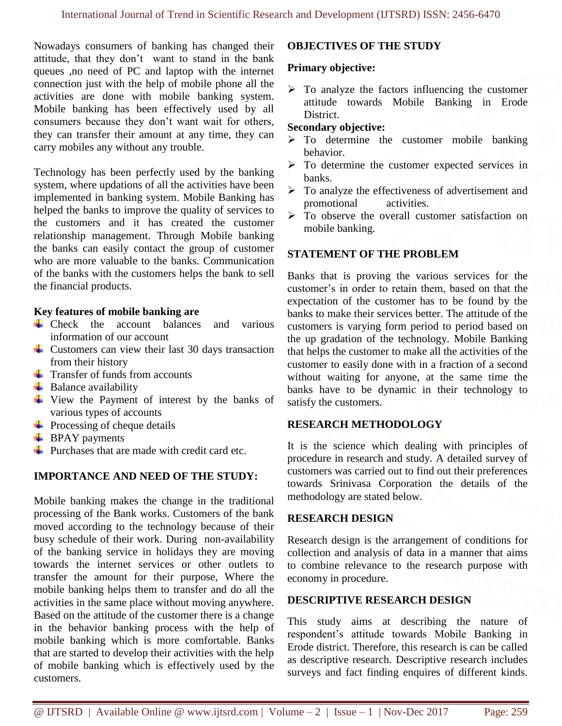Nowadays consumers of banking has changed their attitude, that they don't want to stand in the bank queues ,no need of PC and laptop with the internet connection just with the help of mobile phone all the activities are done with mobile banking system. Mobile banking has been effectively used by all consumers because they don't want wait for others, they can transfer their amount at any time, they can carry mobiles any without any trouble.

Technology has been perfectly used by the banking system, where updations of all the activities have been implemented in banking system. Mobile Banking has helped the banks to improve the quality of services to the customers and it has created the customer relationship management. Through Mobile banking the banks can easily contact the group of customer who are more valuable to the banks. Communication of the banks with the customers helps the bank to sell the financial products.

#### **Key features of mobile banking are**

- $\downarrow$  Check the account balances and various information of our account
- $\overline{\phantom{a}}$  Customers can view their last 30 days transaction from their history
- $\overline{\text{Transfer of funds from accounts}}$
- $\overline{\phantom{a}}$  Balance availability
- $\overline{\text{L}}$  View the Payment of interest by the banks of various types of accounts
- $\downarrow$  Processing of cheque details
- $\overline{\phantom{a}}$  BPAY payments
- $\overline{\text{L}}$  Purchases that are made with credit card etc.

## **IMPORTANCE AND NEED OF THE STUDY:**

Mobile banking makes the change in the traditional processing of the Bank works. Customers of the bank moved according to the technology because of their busy schedule of their work. During non-availability of the banking service in holidays they are moving towards the internet services or other outlets to transfer the amount for their purpose, Where the mobile banking helps them to transfer and do all the activities in the same place without moving anywhere. Based on the attitude of the customer there is a change in the behavior banking process with the help of mobile banking which is more comfortable. Banks that are started to develop their activities with the help of mobile banking which is effectively used by the customers.

## **OBJECTIVES OF THE STUDY**

#### **Primary objective:**

 $\triangleright$  To analyze the factors influencing the customer attitude towards Mobile Banking in Erode District.

## **Secondary objective:**

- $\triangleright$  To determine the customer mobile banking behavior.
- $\triangleright$  To determine the customer expected services in banks.
- $\triangleright$  To analyze the effectiveness of advertisement and promotional activities.
- $\triangleright$  To observe the overall customer satisfaction on mobile banking.

## **STATEMENT OF THE PROBLEM**

Banks that is proving the various services for the customer's in order to retain them, based on that the expectation of the customer has to be found by the banks to make their services better. The attitude of the customers is varying form period to period based on the up gradation of the technology. Mobile Banking that helps the customer to make all the activities of the customer to easily done with in a fraction of a second without waiting for anyone, at the same time the banks have to be dynamic in their technology to satisfy the customers.

## **RESEARCH METHODOLOGY**

It is the science which dealing with principles of procedure in research and study. A detailed survey of customers was carried out to find out their preferences towards Srinivasa Corporation the details of the methodology are stated below.

#### **RESEARCH DESIGN**

Research design is the arrangement of conditions for collection and analysis of data in a manner that aims to combine relevance to the research purpose with economy in procedure.

## **DESCRIPTIVE RESEARCH DESIGN**

This study aims at describing the nature of respondent's attitude towards Mobile Banking in Erode district. Therefore, this research is can be called as descriptive research. Descriptive research includes surveys and fact finding enquires of different kinds.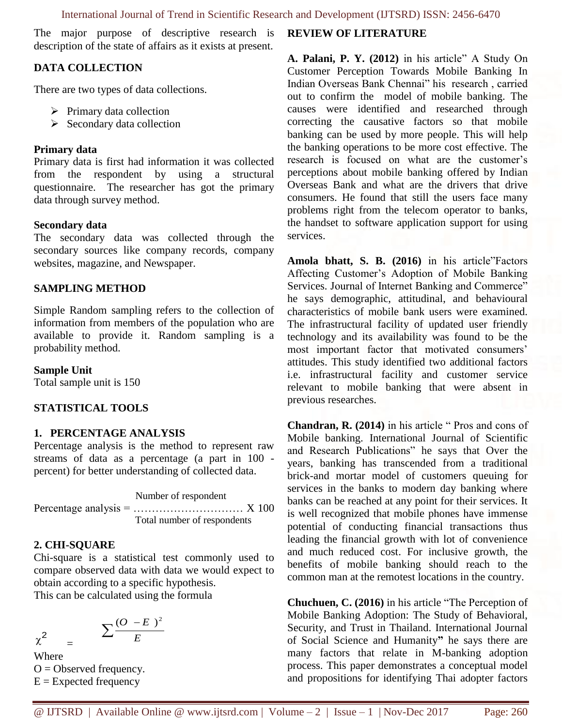The major purpose of descriptive research is description of the state of affairs as it exists at present.

## **DATA COLLECTION**

There are two types of data collections.

- $\triangleright$  Primary data collection
- $\triangleright$  Secondary data collection

#### **Primary data**

Primary data is first had information it was collected from the respondent by using a structural questionnaire. The researcher has got the primary data through survey method.

#### **Secondary data**

The secondary data was collected through the secondary sources like company records, company websites, magazine, and Newspaper.

#### **SAMPLING METHOD**

Simple Random sampling refers to the collection of information from members of the population who are available to provide it. Random sampling is a probability method.

#### **Sample Unit**

Total sample unit is 150

## **STATISTICAL TOOLS**

## **1. PERCENTAGE ANALYSIS**

Percentage analysis is the method to represent raw streams of data as a percentage (a part in 100 percent) for better understanding of collected data.

Number of respondent Percentage analysis =  $\dots$   $\dots$   $\dots$   $\dots$   $\dots$   $\dots$   $X$  100 Total number of respondents

#### **2. CHI-SQUARE**

Chi-square is a statistical test commonly used to compare observed data with data we would expect to obtain according to a specific hypothesis.

This can be calculated using the formula

$$
\chi^2 = \frac{\sum \frac{(O - E)^2}{E}}{E}
$$

Where  $O =$  Observed frequency.  $E =$  Expected frequency

#### **REVIEW OF LITERATURE**

**A. Palani, P. Y. (2012)** in his article" A Study On Customer Perception Towards Mobile Banking In Indian Overseas Bank Chennai" his research , carried out to confirm the model of mobile banking. The causes were identified and researched through correcting the causative factors so that mobile banking can be used by more people. This will help the banking operations to be more cost effective. The research is focused on what are the customer's perceptions about mobile banking offered by Indian Overseas Bank and what are the drivers that drive consumers. He found that still the users face many problems right from the telecom operator to banks, the handset to software application support for using services.

**Amola bhatt, S. B. (2016)** in his article"Factors Affecting Customer's Adoption of Mobile Banking Services. Journal of Internet Banking and Commerce" he says demographic, attitudinal, and behavioural characteristics of mobile bank users were examined. The infrastructural facility of updated user friendly technology and its availability was found to be the most important factor that motivated consumers' attitudes. This study identified two additional factors i.e. infrastructural facility and customer service relevant to mobile banking that were absent in previous researches.

**Chandran, R. (2014)** in his article " Pros and cons of Mobile banking. International Journal of Scientific and Research Publications" he says that Over the years, banking has transcended from a traditional brick-and mortar model of customers queuing for services in the banks to modern day banking where banks can be reached at any point for their services. It is well recognized that mobile phones have immense potential of conducting financial transactions thus leading the financial growth with lot of convenience and much reduced cost. For inclusive growth, the benefits of mobile banking should reach to the common man at the remotest locations in the country.

**Chuchuen, C. (2016)** in his article "The Perception of Mobile Banking Adoption: The Study of Behavioral, Security, and Trust in Thailand. International Journal of Social Science and Humanity**"** he says there are many factors that relate in M-banking adoption process. This paper demonstrates a conceptual model and propositions for identifying Thai adopter factors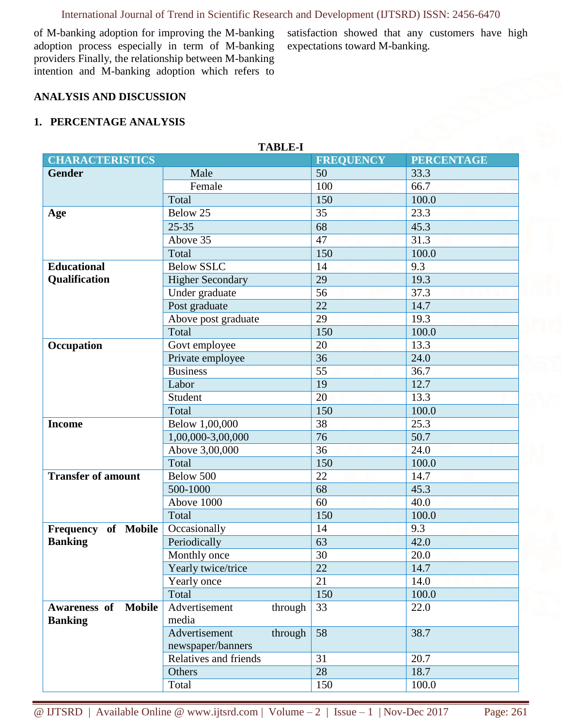# International Journal of Trend in Scientific Research and Development (IJTSRD) ISSN: 2456-6470

**TABLE-I**

of M-banking adoption for improving the M-banking adoption process especially in term of M-banking providers Finally, the relationship between M-banking intention and M-banking adoption which refers to

satisfaction showed that any customers have high expectations toward M-banking.

## **ANALYSIS AND DISCUSSION**

#### **1. PERCENTAGE ANALYSIS**

| тарыл-т                       |                                            |         |                  |                   |  |  |  |
|-------------------------------|--------------------------------------------|---------|------------------|-------------------|--|--|--|
| <b>CHARACTERISTICS</b>        |                                            |         | <b>FREQUENCY</b> | <b>PERCENTAGE</b> |  |  |  |
| <b>Gender</b>                 | Male                                       |         | 50               | 33.3              |  |  |  |
|                               | Female                                     |         | 100              | 66.7              |  |  |  |
|                               | Total                                      |         | 150              | 100.0             |  |  |  |
| Age                           | Below 25                                   |         | 35               | 23.3              |  |  |  |
|                               | $25 - 35$                                  |         | 68               | 45.3              |  |  |  |
|                               | Above 35                                   |         | 47               | 31.3              |  |  |  |
|                               | Total                                      |         | 150              | 100.0             |  |  |  |
| <b>Educational</b>            | <b>Below SSLC</b>                          |         | 14               | $\overline{9.3}$  |  |  |  |
| Qualification                 | <b>Higher Secondary</b>                    |         | 29               | 19.3              |  |  |  |
|                               | Under graduate                             |         | 56               | 37.3              |  |  |  |
|                               | Post graduate                              |         | 22               | 14.7              |  |  |  |
|                               | Above post graduate                        |         | $\overline{29}$  | 19.3              |  |  |  |
|                               | Total                                      |         | 150              | 100.0             |  |  |  |
| Occupation                    | Govt employee                              |         | 20               | 13.3              |  |  |  |
|                               | Private employee                           |         | 36               | 24.0              |  |  |  |
|                               | <b>Business</b>                            |         | 55               | 36.7              |  |  |  |
|                               | Labor                                      |         | 19               | 12.7              |  |  |  |
|                               | Student                                    |         | 20               | 13.3              |  |  |  |
|                               | Total                                      |         | 150              | 100.0             |  |  |  |
| <b>Income</b>                 | Below 1,00,000                             |         | 38               | 25.3              |  |  |  |
|                               | 1,00,000-3,00,000                          |         | 76               | 50.7              |  |  |  |
|                               | Above 3,00,000                             |         | 36               | 24.0              |  |  |  |
|                               | Total                                      |         | 150              | 100.0             |  |  |  |
| <b>Transfer of amount</b>     | Below 500                                  |         | 22               | 14.7              |  |  |  |
|                               | 500-1000                                   |         | 68               | 45.3              |  |  |  |
|                               | Above 1000                                 |         | 60               | 40.0              |  |  |  |
|                               | Total                                      |         | 150              | 100.0             |  |  |  |
| Frequency of Mobile           | Occasionally                               |         | 14               | 9.3               |  |  |  |
| <b>Banking</b>                | Periodically                               |         | 63               | 42.0              |  |  |  |
|                               | Monthly once                               |         | 30               | 20.0              |  |  |  |
|                               | Yearly twice/trice                         |         | 22               | 14.7              |  |  |  |
|                               | Yearly once                                |         | 21               | 14.0              |  |  |  |
|                               | Total                                      |         | 150              | 100.0             |  |  |  |
| Awareness of<br><b>Mobile</b> | Advertisement                              | through | 33               | 22.0              |  |  |  |
| <b>Banking</b>                | media<br>Advertisement                     |         |                  |                   |  |  |  |
|                               |                                            | through | 58               | 38.7              |  |  |  |
|                               | newspaper/banners<br>Relatives and friends |         |                  | 20.7              |  |  |  |
|                               |                                            |         | 31<br>28         |                   |  |  |  |
|                               | Others                                     |         |                  | 18.7              |  |  |  |
|                               | Total                                      |         | 150              | 100.0             |  |  |  |

# @ IJTSRD | Available Online @ www.ijtsrd.com | Volume – 2 | Issue – 1 | Nov-Dec 2017 Page: 261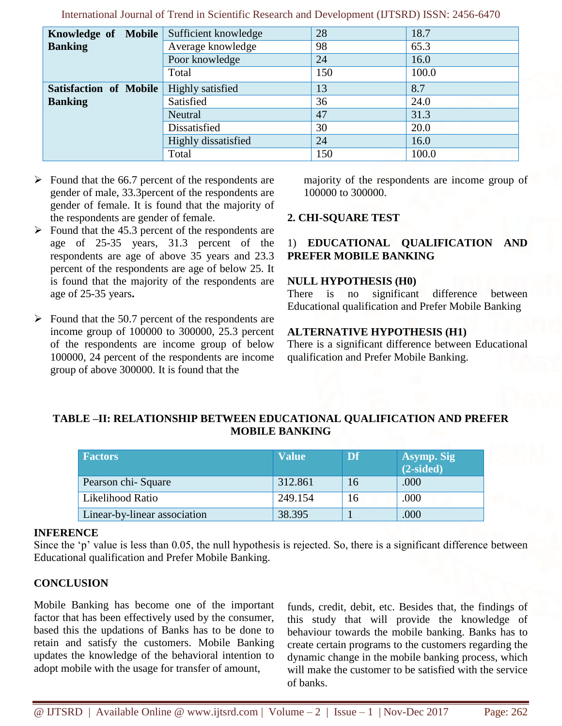| Knowledge of Mobile Sufficient knowledge |                     | 28  | 18.7  |
|------------------------------------------|---------------------|-----|-------|
| <b>Banking</b>                           | Average knowledge   | 98  | 65.3  |
|                                          | Poor knowledge      | 24  | 16.0  |
|                                          | Total               | 150 | 100.0 |
| <b>Satisfaction of Mobile</b>            | Highly satisfied    | 13  | 8.7   |
| <b>Banking</b>                           | Satisfied           | 36  | 24.0  |
|                                          | Neutral             | 47  | 31.3  |
|                                          | Dissatisfied        | 30  | 20.0  |
|                                          | Highly dissatisfied | 24  | 16.0  |
|                                          | Total               | 150 | 100.0 |

International Journal of Trend in Scientific Research and Development (IJTSRD) ISSN: 2456-6470

- $\triangleright$  Found that the 66.7 percent of the respondents are gender of male, 33.3percent of the respondents are gender of female. It is found that the majority of the respondents are gender of female.
- $\triangleright$  Found that the 45.3 percent of the respondents are age of 25-35 years, 31.3 percent of the respondents are age of above 35 years and 23.3 percent of the respondents are age of below 25. It is found that the majority of the respondents are age of 25-35 years**.**
- $\triangleright$  Found that the 50.7 percent of the respondents are income group of 100000 to 300000, 25.3 percent of the respondents are income group of below 100000, 24 percent of the respondents are income group of above 300000. It is found that the

majority of the respondents are income group of 100000 to 300000.

## **2. CHI-SQUARE TEST**

## 1) **EDUCATIONAL QUALIFICATION AND PREFER MOBILE BANKING**

#### **NULL HYPOTHESIS (H0)**

There is no significant difference between Educational qualification and Prefer Mobile Banking

#### **ALTERNATIVE HYPOTHESIS (H1)**

There is a significant difference between Educational qualification and Prefer Mobile Banking.

## **TABLE –II: RELATIONSHIP BETWEEN EDUCATIONAL QUALIFICATION AND PREFER MOBILE BANKING**

| <b>Factors</b>               | <b>Value</b> | Df | Asymp. Sig<br>$(2-sided)$ |
|------------------------------|--------------|----|---------------------------|
| Pearson chi-Square           | 312.861      | 16 | .000                      |
| Likelihood Ratio             | 249.154      | 16 | .000                      |
| Linear-by-linear association | 38.395       |    | .000                      |

#### **INFERENCE**

Since the 'p' value is less than 0.05, the null hypothesis is rejected. So, there is a significant difference between Educational qualification and Prefer Mobile Banking.

## **CONCLUSION**

Mobile Banking has become one of the important factor that has been effectively used by the consumer, based this the updations of Banks has to be done to retain and satisfy the customers. Mobile Banking updates the knowledge of the behavioral intention to adopt mobile with the usage for transfer of amount,

funds, credit, debit, etc. Besides that, the findings of this study that will provide the knowledge of behaviour towards the mobile banking. Banks has to create certain programs to the customers regarding the dynamic change in the mobile banking process, which will make the customer to be satisfied with the service of banks.